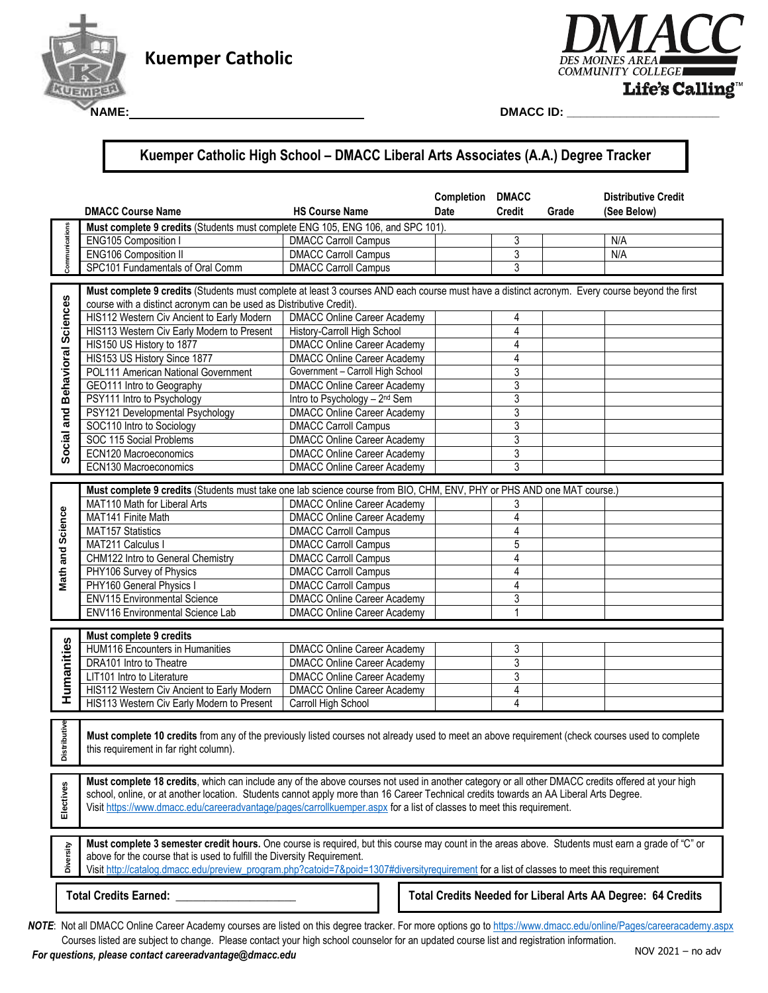

# **Kuemper Catholic <b>Kuemper** Catholic **Catalogue**

**NAME:** 



**DMACC ID: \_\_\_\_\_\_\_\_\_\_\_\_\_\_\_\_\_\_\_\_\_\_\_** 

## **Kuemper Catholic High School – DMACC Liberal Arts Associates (A.A.) Degree Tracker**

|                                | <b>DMACC Course Name</b>                                                                                                                                                                                                                                                                                                                                                                                             | <b>HS Course Name</b>                     | <b>Completion DMACC</b><br>Date                             | <b>Credit</b>  | Grade | <b>Distributive Credit</b><br>(See Below) |
|--------------------------------|----------------------------------------------------------------------------------------------------------------------------------------------------------------------------------------------------------------------------------------------------------------------------------------------------------------------------------------------------------------------------------------------------------------------|-------------------------------------------|-------------------------------------------------------------|----------------|-------|-------------------------------------------|
| Communications                 | Must complete 9 credits (Students must complete ENG 105, ENG 106, and SPC 101).                                                                                                                                                                                                                                                                                                                                      |                                           |                                                             |                |       |                                           |
|                                | ENG105 Composition I                                                                                                                                                                                                                                                                                                                                                                                                 | <b>DMACC Carroll Campus</b>               |                                                             | 3              |       | N/A                                       |
|                                | <b>ENG106 Composition II</b>                                                                                                                                                                                                                                                                                                                                                                                         | <b>DMACC Carroll Campus</b>               |                                                             | $\overline{3}$ |       | N/A                                       |
|                                | SPC101 Fundamentals of Oral Comm                                                                                                                                                                                                                                                                                                                                                                                     | <b>DMACC Carroll Campus</b>               |                                                             | 3              |       |                                           |
| Social and Behavioral Sciences | Must complete 9 credits (Students must complete at least 3 courses AND each course must have a distinct acronym. Every course beyond the first<br>course with a distinct acronym can be used as Distributive Credit).<br>HIS112 Western Civ Ancient to Early Modern<br><b>DMACC Online Career Academy</b><br>4                                                                                                       |                                           |                                                             |                |       |                                           |
|                                | HIS113 Western Civ Early Modern to Present                                                                                                                                                                                                                                                                                                                                                                           | History-Carroll High School               |                                                             | 4              |       |                                           |
|                                | HIS150 US History to 1877                                                                                                                                                                                                                                                                                                                                                                                            | <b>DMACC Online Career Academy</b>        |                                                             | 4              |       |                                           |
|                                | HIS153 US History Since 1877                                                                                                                                                                                                                                                                                                                                                                                         | <b>DMACC Online Career Academy</b>        |                                                             | 4              |       |                                           |
|                                | POL111 American National Government                                                                                                                                                                                                                                                                                                                                                                                  | Government - Carroll High School          |                                                             | 3              |       |                                           |
|                                | GEO111 Intro to Geography                                                                                                                                                                                                                                                                                                                                                                                            | <b>DMACC Online Career Academy</b>        |                                                             | $\overline{3}$ |       |                                           |
|                                | PSY111 Intro to Psychology                                                                                                                                                                                                                                                                                                                                                                                           | Intro to Psychology - 2 <sup>nd</sup> Sem |                                                             | 3              |       |                                           |
|                                | PSY121 Developmental Psychology                                                                                                                                                                                                                                                                                                                                                                                      | <b>DMACC Online Career Academy</b>        |                                                             | $\overline{3}$ |       |                                           |
|                                | SOC110 Intro to Sociology                                                                                                                                                                                                                                                                                                                                                                                            | <b>DMACC Carroll Campus</b>               |                                                             | $\sqrt{3}$     |       |                                           |
|                                | SOC 115 Social Problems                                                                                                                                                                                                                                                                                                                                                                                              | <b>DMACC Online Career Academy</b>        |                                                             | 3              |       |                                           |
|                                | ECN120 Macroeconomics                                                                                                                                                                                                                                                                                                                                                                                                | <b>DMACC Online Career Academy</b>        |                                                             | $\overline{3}$ |       |                                           |
|                                | <b>ECN130 Macroeconomics</b>                                                                                                                                                                                                                                                                                                                                                                                         | <b>DMACC Online Career Academy</b>        |                                                             | $\overline{3}$ |       |                                           |
|                                |                                                                                                                                                                                                                                                                                                                                                                                                                      |                                           |                                                             |                |       |                                           |
|                                | Must complete 9 credits (Students must take one lab science course from BIO, CHM, ENV, PHY or PHS AND one MAT course.)                                                                                                                                                                                                                                                                                               |                                           |                                                             |                |       |                                           |
|                                | MAT110 Math for Liberal Arts                                                                                                                                                                                                                                                                                                                                                                                         | <b>DMACC Online Career Academy</b>        |                                                             | 3              |       |                                           |
|                                | MAT141 Finite Math                                                                                                                                                                                                                                                                                                                                                                                                   | <b>DMACC Online Career Academy</b>        |                                                             | $\overline{4}$ |       |                                           |
|                                | <b>MAT157 Statistics</b>                                                                                                                                                                                                                                                                                                                                                                                             | <b>DMACC Carroll Campus</b>               |                                                             | 4              |       |                                           |
| Math and Science               | MAT211 Calculus I                                                                                                                                                                                                                                                                                                                                                                                                    | <b>DMACC Carroll Campus</b>               |                                                             | 5              |       |                                           |
|                                | CHM122 Intro to General Chemistry                                                                                                                                                                                                                                                                                                                                                                                    | <b>DMACC Carroll Campus</b>               |                                                             | $\overline{4}$ |       |                                           |
|                                | PHY106 Survey of Physics                                                                                                                                                                                                                                                                                                                                                                                             | <b>DMACC Carroll Campus</b>               |                                                             | 4              |       |                                           |
|                                | PHY160 General Physics I                                                                                                                                                                                                                                                                                                                                                                                             | <b>DMACC Carroll Campus</b>               |                                                             | 4              |       |                                           |
|                                | <b>ENV115 Environmental Science</b>                                                                                                                                                                                                                                                                                                                                                                                  | <b>DMACC Online Career Academy</b>        |                                                             | 3              |       |                                           |
|                                | ENV116 Environmental Science Lab                                                                                                                                                                                                                                                                                                                                                                                     | <b>DMACC Online Career Academy</b>        |                                                             | -1             |       |                                           |
| Humanities                     | Must complete 9 credits                                                                                                                                                                                                                                                                                                                                                                                              |                                           |                                                             |                |       |                                           |
|                                | <b>HUM116 Encounters in Humanities</b>                                                                                                                                                                                                                                                                                                                                                                               | <b>DMACC Online Career Academy</b>        |                                                             | 3              |       |                                           |
|                                | DRA101 Intro to Theatre                                                                                                                                                                                                                                                                                                                                                                                              | <b>DMACC Online Career Academy</b>        |                                                             | 3              |       |                                           |
|                                | LIT101 Intro to Literature                                                                                                                                                                                                                                                                                                                                                                                           | <b>DMACC Online Career Academy</b>        |                                                             | 3              |       |                                           |
|                                | HIS112 Western Civ Ancient to Early Modern                                                                                                                                                                                                                                                                                                                                                                           | <b>DMACC Online Career Academy</b>        |                                                             | 4              |       |                                           |
|                                | HIS113 Western Civ Early Modern to Present                                                                                                                                                                                                                                                                                                                                                                           | Carroll High School                       |                                                             | 4              |       |                                           |
| ibutive<br>Distri              | Must complete 10 credits from any of the previously listed courses not already used to meet an above requirement (check courses used to complete<br>this requirement in far right column).                                                                                                                                                                                                                           |                                           |                                                             |                |       |                                           |
| Electives                      | Must complete 18 credits, which can include any of the above courses not used in another category or all other DMACC credits offered at your high<br>school, online, or at another location. Students cannot apply more than 16 Career Technical credits towards an AA Liberal Arts Degree.<br>Visit https://www.dmacc.edu/careeradvantage/pages/carrollkuemper.aspx for a list of classes to meet this requirement. |                                           |                                                             |                |       |                                           |
| Diversity                      | Must complete 3 semester credit hours. One course is required, but this course may count in the areas above. Students must earn a grade of "C" or<br>above for the course that is used to fulfill the Diversity Requirement.<br>Visit http://catalog.dmacc.edu/preview_program.php?catoid=7&poid=1307#diversityrequirement for a list of classes to meet this requirement                                            |                                           |                                                             |                |       |                                           |
|                                | <b>Total Credits Earned:</b>                                                                                                                                                                                                                                                                                                                                                                                         |                                           | Total Credits Needed for Liberal Arts AA Degree: 64 Credits |                |       |                                           |

Courses listed are subject to change. Please contact your high school counselor for an updated course list and registration information.